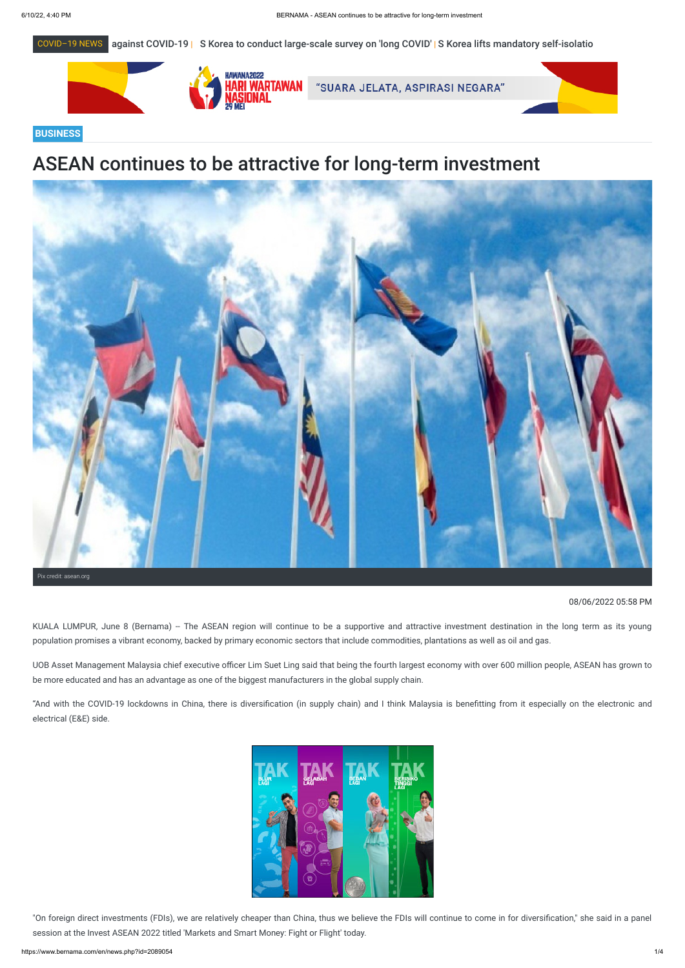



## **BUSINESS**

# ASEAN continues to be attractive for long-term investment

KUALA LUMPUR, June 8 (Bernama) -- The ASEAN region will continue to be a supportive and attractive investment destination in the long term as its young population promises a vibrant economy, backed by primary economic sectors that include commodities, plantations as well as oil and gas.



### 08/06/2022 05:58 PM

"On foreign direct investments (FDIs), we are relatively cheaper than China, thus we believe the FDIs will continue to come in for diversification," she said in a panel session at the Invest ASEAN 2022 titled 'Markets and Smart Money: Fight or Flight' today.

UOB Asset Management Malaysia chief executive officer Lim Suet Ling said that being the fourth largest economy with over 600 million people, ASEAN has grown to be more educated and has an advantage as one of the biggest manufacturers in the global supply chain.

"And with the COVID-19 lockdowns in China, there is diversification (in supply chain) and I think Malaysia is benefitting from it especially on the electronic and electrical (E&E) side.